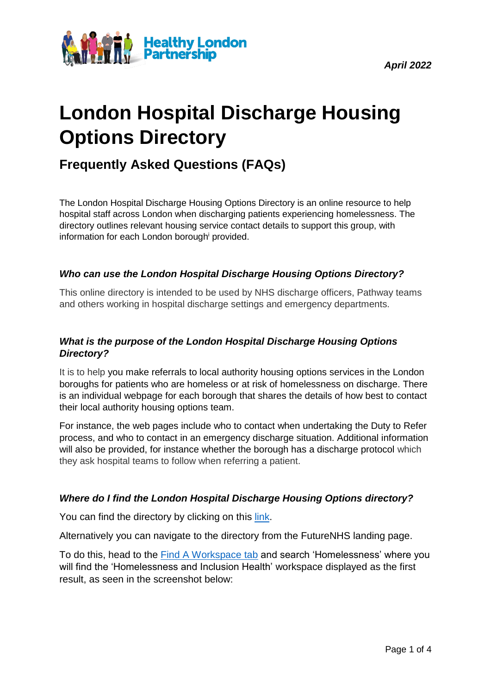*April 2022*



# **London Hospital Discharge Housing Options Directory**

# **Frequently Asked Questions (FAQs)**

The London Hospital Discharge Housing Options Directory is an online resource to help hospital staff across London when discharging patients experiencing homelessness. The directory outlines relevant housing service contact details to support this group, with information for each London borough<sup>i</sup> provided.

### *Who can use the London Hospital Discharge Housing Options Directory?*

This online directory is intended to be used by NHS discharge officers, Pathway teams and others working in hospital discharge settings and emergency departments.

## *What is the purpose of the London Hospital Discharge Housing Options Directory?*

It is to help you make referrals to local authority housing options services in the London boroughs for patients who are homeless or at risk of homelessness on discharge. There is an individual webpage for each borough that shares the details of how best to contact their local authority housing options team.

For instance, the web pages include who to contact when undertaking the Duty to Refer process, and who to contact in an emergency discharge situation. Additional information will also be provided, for instance whether the borough has a discharge protocol which they ask hospital teams to follow when referring a patient.

#### *Where do I find the London Hospital Discharge Housing Options directory?*

You can find the directory by clicking on this [link.](https://future.nhs.uk/HomelessHealthCOVID19/view?objectID=33318800&done=OBJChangesSaved)

Alternatively you can navigate to the directory from the FutureNHS landing page.

To do this, head to the [Find A Workspace tab](https://future.nhs.uk/system/findGroup?search=homelessness&btn_search=) and search 'Homelessness' where you will find the 'Homelessness and Inclusion Health' workspace displayed as the first result, as seen in the screenshot below: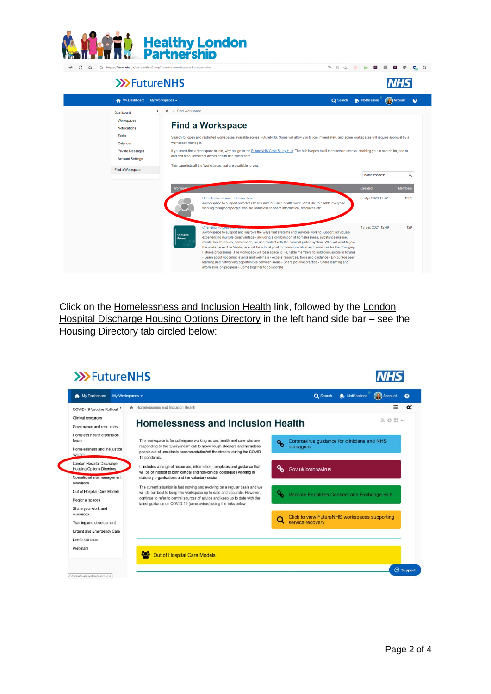

#### **>>>FutureNHS**

| My Dashboard                                       | My Workspaces $\blacktriangleright$          | Q Search                                                                                                                                                                                                                                                                                                                                                                                                                                                                                                                                                        | Notifications     | Account<br>$\bullet$ |
|----------------------------------------------------|----------------------------------------------|-----------------------------------------------------------------------------------------------------------------------------------------------------------------------------------------------------------------------------------------------------------------------------------------------------------------------------------------------------------------------------------------------------------------------------------------------------------------------------------------------------------------------------------------------------------------|-------------------|----------------------|
| Dashboard                                          | $\bigwedge$ Find Workspace<br>$\left\langle$ |                                                                                                                                                                                                                                                                                                                                                                                                                                                                                                                                                                 |                   |                      |
| Workspaces<br><b>Notifications</b>                 |                                              | <b>Find a Workspace</b>                                                                                                                                                                                                                                                                                                                                                                                                                                                                                                                                         |                   |                      |
| Tasks<br>Calendar                                  | workspace manager.                           | Search for open and restricted workspaces available across FutureNHS. Some will allow you to join immediately, and some workspaces will require approval by a                                                                                                                                                                                                                                                                                                                                                                                                   |                   |                      |
| <b>Private Messages</b><br><b>Account Settings</b> |                                              | If you can't find a workspace to join, why not go to the FutureNHS Case Study Hub. The hub is open to all members to access, enabling you to search for, add to<br>and edit resources from across health and social care.                                                                                                                                                                                                                                                                                                                                       |                   |                      |
| Find a Workspace                                   |                                              | This page lists all the Workspaces that are available to you.                                                                                                                                                                                                                                                                                                                                                                                                                                                                                                   |                   |                      |
|                                                    |                                              |                                                                                                                                                                                                                                                                                                                                                                                                                                                                                                                                                                 | homelessness      | Q                    |
|                                                    | Workspan                                     |                                                                                                                                                                                                                                                                                                                                                                                                                                                                                                                                                                 | Created           | <b>Members</b>       |
|                                                    |                                              | Homelessness and Inclusion Health<br>A workspace to support homeless health and inclusion health work. We'd like to enable everyone<br>working to support people who are homeless to share information, resources etc.                                                                                                                                                                                                                                                                                                                                          | 03 Apr 2020 17:42 | 1201                 |
|                                                    | <b>Changing</b><br><b>Futures</b>            | <b>Changing Futures vivil</b><br>A workspace to support and improve the ways that systems and services work to support individuals<br>experiencing multiple disadvantage - including a combination of homelessness, substance misuse,<br>mental health issues, domestic abuse and contact with the criminal justice system. Who will want to join<br>the workspace? The Workspace will be a focal point for communication and resources for the Changing<br>Futures programme. The workspace will be a space to: - Enable members to hold discussions in forums | 13 Sep 2021 12:49 | 129                  |

Click on the Homelessness and Inclusion Health link, followed by the London Hospital Discharge Housing Options Directory in the left hand side bar – see the Housing Directory tab circled below:



**中共命 第四日日 日 日 日** 日

**NHS**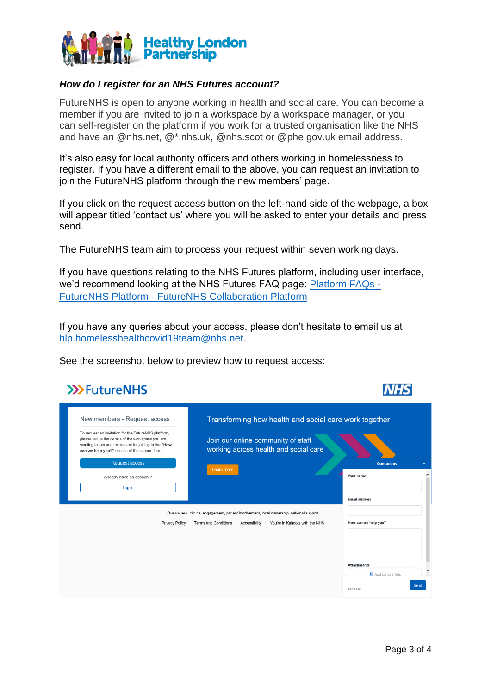

### *How do I register for an NHS Futures account?*

FutureNHS is open to anyone working in health and social care. You can become a member if you are invited to join a workspace by a workspace manager, or you can self-register on the platform if you work for a trusted organisation like the NHS and have an @nhs.net, @\*.nhs.uk, @nhs.scot or @phe.gov.uk email address.

It's also easy for local authority officers and others working in homelessness to register. If you have a different email to the above, you can request an invitation to join the FutureNHS platform through the new [members'](https://future.nhs.uk/connect.ti/system/text/register) page.

If you click on the request access button on the left-hand side of the webpage, a box will appear titled 'contact us' where you will be asked to enter your details and press send.

The FutureNHS team aim to process your request within seven working days.

If you have questions relating to the NHS Futures platform, including user interface, we'd recommend looking at the NHS Futures FAQ page: [Platform FAQs -](https://future.nhs.uk/Home/view?objectId=17750480) FutureNHS Platform - [FutureNHS Collaboration Platform](https://future.nhs.uk/Home/view?objectId=17750480)

If you have any queries about your access, please don't hesitate to email us at [hlp.homelesshealthcovid19team@nhs.net.](mailto:hlp.homelesshealthcovid19team@nhs.net)

See the screenshot below to preview how to request access:

| <b>&gt;&gt;&gt;FutureNHS</b>                                                                                                                                                                                            |                                                                                         |                          |
|-------------------------------------------------------------------------------------------------------------------------------------------------------------------------------------------------------------------------|-----------------------------------------------------------------------------------------|--------------------------|
| New members - Request access                                                                                                                                                                                            | Transforming how health and social care work together                                   |                          |
| To request an invitation for the FutureNHS platform,<br>please tell us the details of the workspace you are<br>wanting to join and the reason for joining in the "How<br>can we help you?" section of the support form. | Join our online community of staff<br>working across health and social care             |                          |
| <b>Request access</b>                                                                                                                                                                                                   | Learn more                                                                              | <b>Contact us</b>        |
| Already have an account?                                                                                                                                                                                                |                                                                                         | Your name                |
| Log in                                                                                                                                                                                                                  |                                                                                         |                          |
|                                                                                                                                                                                                                         |                                                                                         | <b>Email address</b>     |
|                                                                                                                                                                                                                         | Our values: clinical engagement, patient involvement, local ownership, national support |                          |
|                                                                                                                                                                                                                         | Privacy Policy   Terms and Conditions   Accessibility   You're in Kahootz with the NHS  | How can we help you?     |
|                                                                                                                                                                                                                         |                                                                                         |                          |
|                                                                                                                                                                                                                         |                                                                                         | <b>Attachments</b>       |
|                                                                                                                                                                                                                         |                                                                                         | $\Box$ Add up to 5 files |
|                                                                                                                                                                                                                         |                                                                                         | Send<br>zendesk          |